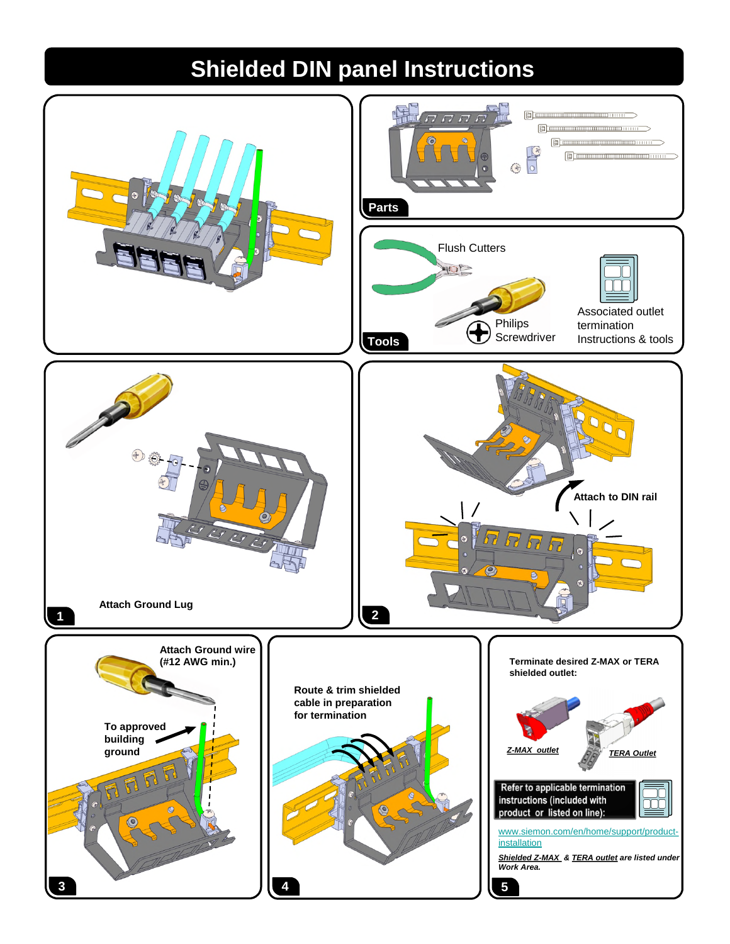## **Shielded DIN panel Instructions**